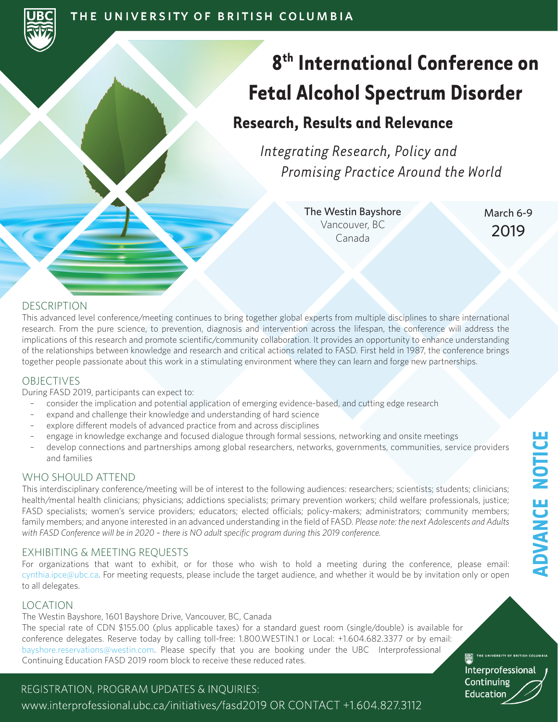# **8th International Conference on Fetal Alcohol Spectrum Disorder**

## **Research, Results and Relevance**

*Integrating Research, Policy and Promising Practice Around the World*

> The Westin Bayshore Vancouver, BC Canada

March 6-9 2019

### DESCRIPTION

This advanced level conference/meeting continues to bring together global experts from multiple disciplines to share international research. From the pure science, to prevention, diagnosis and intervention across the lifespan, the conference will address the implications of this research and promote scientific/community collaboration. It provides an opportunity to enhance understanding of the relationships between knowledge and research and critical actions related to FASD. First held in 1987, the conference brings together people passionate about this work in a stimulating environment where they can learn and forge new partnerships.

### OBJECTIVES

During FASD 2019, participants can expect to:

- consider the implication and potential application of emerging evidence-based, and cutting edge research
- expand and challenge their knowledge and understanding of hard science
- explore different models of advanced practice from and across disciplines
- engage in knowledge exchange and focused dialogue through formal sessions, networking and onsite meetings
- develop connections and partnerships among global researchers, networks, governments, communities, service providers and families

### WHO SHOULD ATTEND

This interdisciplinary conference/meeting will be of interest to the following audiences: researchers; scientists; students; clinicians; health/mental health clinicians; physicians; addictions specialists; primary prevention workers; child welfare professionals, justice; FASD specialists; women's service providers; educators; elected officials; policy-makers; administrators; community members; family members; and anyone interested in an advanced understanding in the field of FASD. *Please note: the next Adolescents and Adults*  with FASD Conference will be in 2020 - there is NO adult specific program during this 2019 conference.

### EXHIBITING & MEETING REQUESTS

For organizations that want to exhibit, or for those who wish to hold a meeting during the conference, please email: cynthia.ipce@ubc.ca. For meeting requests, please include the target audience, and whether it would be by invitation only or open to all delegates.

### LOCATION

The Westin Bayshore, 1601 Bayshore Drive, Vancouver, BC, Canada The special rate of CDN \$155.00 (plus applicable taxes) for a standard guest room (single/double) is available for conference delegates. Reserve today by calling toll-free: 1.800.WESTIN.1 or Local: +1.604.682.3377 or by email: bayshore.reservations@westin.com. Please specify that you are booking under the UBC Interprofessional Continuing Education FASD 2019 room block to receive these reduced rates.

REGISTRATION, PROGRAM UPDATES & INQUIRIES:

www.interprofessional.ubc.ca/initiatives/fasd2019 OR CONTACT +1.604.827.3112

Interprofessional Continuing

Education